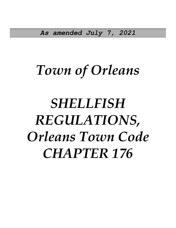*As amended July 7, 2021*

# *Town of Orleans*

# *SHELLFISH REGULATIONS, Orleans Town Code CHAPTER 176*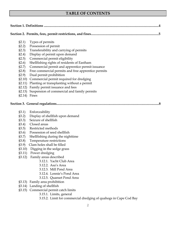## **TABLE OF CONTENTS**

|  | (52.1)    | Types of permits                                                 |  |  |  |  |  |
|--|-----------|------------------------------------------------------------------|--|--|--|--|--|
|  | (52.2)    | Possession of permit                                             |  |  |  |  |  |
|  | $\S 2.3)$ | Transferability and carrying of permits                          |  |  |  |  |  |
|  | (52.4)    | Display of permit upon demand                                    |  |  |  |  |  |
|  | (52.5)    | Commercial permit eligibility                                    |  |  |  |  |  |
|  | \$2.6)    | Shellfishing rights of residents of Eastham                      |  |  |  |  |  |
|  | \$2.7)    | Commercial permit and apprentice permit issuance                 |  |  |  |  |  |
|  | \$2.8)    | Free commercial permits and free apprentice permits              |  |  |  |  |  |
|  | (82.9)    | Dual permit prohibition                                          |  |  |  |  |  |
|  |           | §2.10) Commercial permit required for dredging                   |  |  |  |  |  |
|  | \$2.11)   | Planting or transplanting without a permit                       |  |  |  |  |  |
|  |           | §2.12) Family permit issuance and fees                           |  |  |  |  |  |
|  | \$2.13)   | Suspension of commercial and family permits                      |  |  |  |  |  |
|  | \$2.14)   | Fines                                                            |  |  |  |  |  |
|  |           |                                                                  |  |  |  |  |  |
|  | (3.1)     | Enforceability                                                   |  |  |  |  |  |
|  | (3.2)     | Display of shellfish upon demand                                 |  |  |  |  |  |
|  | (3.3)     | Seizure of shellfish                                             |  |  |  |  |  |
|  | (3.4)     | Closed areas                                                     |  |  |  |  |  |
|  | (3.5)     | Restricted methods                                               |  |  |  |  |  |
|  | (33.6)    | Possession of seed shellfish                                     |  |  |  |  |  |
|  | (3.7)     | Shellfishing during the nighttime                                |  |  |  |  |  |
|  | (3.8)     | Temperature restrictions                                         |  |  |  |  |  |
|  | (3.9)     | Clam holes shall be filled                                       |  |  |  |  |  |
|  | \$3.10)   | Digging in the sedge grass                                       |  |  |  |  |  |
|  | \$3.11)   | Power dredging                                                   |  |  |  |  |  |
|  | (3.12)    | Family areas described                                           |  |  |  |  |  |
|  |           | 3.12.1. Yacht Club Area                                          |  |  |  |  |  |
|  |           | 3.12.2. Asa's Area                                               |  |  |  |  |  |
|  |           | 3.12.3. Mill Pond Area                                           |  |  |  |  |  |
|  |           | 3.12.4. Lonnie's Pond Area                                       |  |  |  |  |  |
|  |           | 3.12.5. Quanset Pond Area                                        |  |  |  |  |  |
|  |           | §3.13) Family area prohibition                                   |  |  |  |  |  |
|  |           | §3.14) Landing of shellfish                                      |  |  |  |  |  |
|  |           | §3.15) Commercial permit catch limits                            |  |  |  |  |  |
|  |           | 3.15.1. Limits, general                                          |  |  |  |  |  |
|  |           | 3.15.2. Limit for commercial dredging of quahogs in Cape Cod Bay |  |  |  |  |  |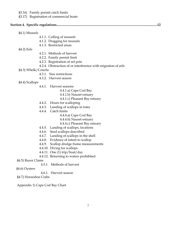- §3.16) Family permit catch limits
- §3.17) Registration of commercial boats

|--|--|--|--|--|

- §4.1) Mussels
	- 4.1.1. Culling of mussels
	- 4.1.2. Dragging for mussels
	- 4.1.3. Restricted areas
- §4.2) Eels
- 4.2.1. Methods of harvest
- 4.2.2. Family permit limit
- 4.2.3. Registration of eel pots
- 4.2.4. Obstruction of or interference with migration of eels
- §4.3) Whelk/Conchs
	- 4.3.1. Size restrictions
	- 4.3.2. Harvest season
- §4.4) Scallops
	- 4.4.1. Harvest seasons
		- 4.4.1.a) Cape Cod Bay
		- 4.4.1.b) Nauset estuary
		- 4.4.1.c) Pleasant Bay estuary
	- 4.4.2. Hours for scalloping
	- 4.4.3. Landing of scallops in totes
	- 4.4.4. Catch limits
		- 4.4.4.a) Cape Cod Bay
		- 4.4.4.b) Nauset estuary
		- 4.4.4.c) Pleasant Bay estuary
	- 4.4.5. Landing of scallops, locations
	- 4.4.6. Seed scallops described
	- 4.4.7. Landing of scallops in the shell
	- 4.4.8. Evidence of intent to scallop
	- 4.4.9. Scallop dredge frame measurements
	- 4.4.10. Diving for scallops
	- 4.4.11. One (1) trip/boat/day
	- 4.4.12. Returning to waters prohibited
- §4.5) Razor Clams
	- 4.5.1. Methods of harvest
- §4.6) Oysters
- 4.6.1. Harvest season
- §4.7) Horseshoe Crabs

Appendix 1) Cape Cod Bay Chart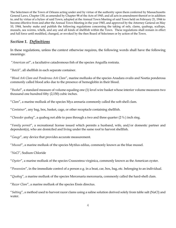The Selectmen of the Town of Orleans acting under and by virtue of the authority upon them conferred by Massachusetts General Laws, Chapter 130, as amended by Chapter 98 of the Acts of 1945, and all acts in amendment thereof or in addition to, and by virtue of a bylaw of said Town, adopted at the Annual Town Meeting of said Town held on February 21, 1944 to become effective from and after the Annual Town Meeting in the year 1945, and approved by the Attorney General on May 10, 1944, hereby make and publish the following regulations concerning the taking of eels, clams, quahogs, scallops, mussels, sea worms, whelk, and any and all kinds of shellfish within the Town. These regulations shall remain in effect and full force until modified, changed, or revoked by the then Board of Selectmen or by action of the Town.

## *Section 1. Definitions*

In these regulations, unless the context otherwise requires, the following words shall have the following meanings:

"*American eel*", a facultative catadromous fish of the species Anguilla rostrata.

"*Batch*", all shellfish in each separate container.

"*Blood Ark Clam and Ponderous Ark Clam*", marine mollusks of the species Anadara ovalis and Noetia ponderosa commonly called blood arks due to the presence of hemoglobin in their blood.

"*Bushel*", a standard measure of volume equaling one (1) level wire basket whose interior volume measures two thousand one hundred fifty (2,150) cubic inches.

"*Clam*", a marine mollusk of the species Mya arenaria commonly called the soft-shell clam.

"*Container*", any bag, box, basket, cage, or other receptacle containing shellfish.

"*Chowder quahog*", a quahog not able to pass through a two and three quarter (2 ¾ ) inch ring.

"*Family permit*", a recreational license issued which permits a husband, wife, and/or domestic partner and dependent(s), who are domiciled and living under the same roof to harvest shellfish.

"*Gauge*", any device that provides accurate measurement.

"*Mussel*", a marine mollusk of the species Mytilus edilus, commonly known as the blue mussel.

*"NaCl"*, Sodium Chloride

"*Oyster*", a marine mollusk of the species Crassostrea virginica, commonly known as the American oyster.

"*Possession*", in the immediate control of a person e.g. in a boat, car, box, bag, etc. belonging to an individual.

"*Quahog*", a marine mollusk of the species Mercenaria mercenaria, commonly called the hard-shell clam.

"*Razor Clam*", a marine mollusk of the species Ensis directus.

"*Salting*", a method used to harvest razor clams using a saline solution derived solely from table salt (NaCl) and water.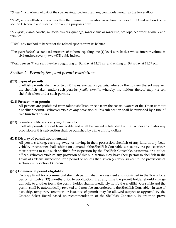"*Scallop*", a marine mollusk of the species Aequipecten irradians, commonly known as the bay scallop.

"*Seed*", any shellfish of a size less than the minimum prescribed in section 3 sub-section D and section 4 subsection D.6 herein and useable for planting purposes only.

"*Shellfish*", clams, conchs, mussels, oysters, quahogs, razor clams or razor fish, scallops, sea worms, whelk and winkles.

"*Take*", any method of harvest of the related species from its habitat.

"*Ten-quart bucket*", a standard measure of volume equaling one (1) level wire basket whose interior volume is six hundred seventy-two (672) cubic inches.

"*Week*", seven (7) consecutive days beginning on Sunday at 12:01 am and ending on Saturday at 11:59 pm.

## *Section 2. Permits, fees, and permit restrictions*

#### **§2.1) Types of permits:**

Shellfish permits shall be of two (2) types: *commercial permits*, whereby the holders thereof may sell the shellfish taken under such permits; *family permits*, whereby the holders thereof may *not* sell shellfish taken under such permits.

#### **§2.2) Possession of permit:**

All persons are prohibited from taking shellfish or eels from the coastal waters of the Town without a shellfish permit. Whoever violates any provision of this sub-section shall be punished by a fine of two hundred dollars.

#### **§2.3) Transferability and carrying of permits:**

Shellfish permits are not transferable and shall be carried while shellfishing. Whoever violates any provision of this sub-section shall be punished by a fine of fifty dollars.

#### **§2.4) Display of permit upon demand:**

All persons taking, carrying away, or having in their possession shellfish of any kind in any boat, vehicle, or container shall exhibit, on demand of the Shellfish Constable, assistants, or a police officer, their permits to take such shellfish for inspection by the Shellfish Constable, assistants, or a police officer. Whoever violates any provision of this sub-section may have their permit to shellfish in the Town of Orleans suspended for a period of no less than seven (7) days, subject to the provisions of section 2 sub-section 13 herein.

## **§2.5) Commercial permit eligibility:**

Each applicant for a commercial shellfish permit shall be a resident and domiciled in the Town for a period of twelve (12) months prior to application; If at any time the permit holder should change domicile to another town, the permit holder shall immediately notify the Shellfish Constable and the permit shall be automatically revoked and must be surrendered to the Shellfish Constable. In case of hardship, temporary retention or issuance of permit may be allowed subject to approval by the Orleans Select Board based on recommendation of the Shellfish Constable. In order to prove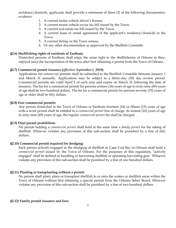residence/domicile, applicants shall provide a minimum of three (3) of the following documentary evidence:

- 1. A current motor vehicle driver's license;
- 2. A current motor vehicle excise tax bill issued by the Town;
- 3. A current real estate tax bill issued by the Town;
- 4. A current lease or rental agreement of the applicant's residence/domicile in the Town;
- 5. A current listing on the Town census;
- 6. Or any other documentation as approved by the Shellfish Constable.

#### **§2.6) Shellfishing rights of residents of Eastham:**

Domiciled persons of Eastham shall enjoy the same right to the shellfisheries of Orleans as they, enjoyed since the incorporation of the town after first obtaining a permit from the Town of Orleans.

#### **§2.7) Commercial permit issuance (***effective September 1, 2019***):**

Applications for *commercial* permits shall be submitted to the Shellfish Constable between January 1 and March 31 annually. Applications may be subject to a thirty-day (30) day review period. Commercial permits are valid April 1 of each year and expire on March 31 following the date of issuance. The fee for a commercial permit for persons sixteen (16) years of age to sixty-nine (69) years of age shall be two hundred dollars. The fee for a commercial permit for persons seventy (70) years of age or older shall be fifty dollars.

#### **§2.8) Free commercial permits:**

Any person domiciled in the Town of Orleans or Eastham fourteen (14) or fifteen (15) years of age with a work permit shall be entitled to a *commercial permit* free of charge. At sixteen (16) years of age to sixty-nine (69) years of age, the regular *commercial permit* fee shall be charged.

#### **§2.9) Dual permit prohibition:**

No person holding a *commercial permit* shall hold at the same time a *family permit* for the taking of shellfish. Whoever violates any provision of this sub-section shall be punished by a fine of fifty dollars.

#### **§2.10) Commercial permit required for dredging:**

Each person actively engaged in the dredging of shellfish in Cape Cod Bay in Orleans shall hold a *commercial permit* issued by the Town of Orleans. For the purposes of this regulation, "actively engaged" shall be defined as handling or harvesting shellfish or operating harvesting gear. Whoever violates any provision of this sub-section shall be punished by a fine of one hundred dollars.

#### **§2.11) Planting or transplanting without a permit:**

No person shall plant, place or transplant shellfish in or onto the waters or shellfish areas within the Town of Orleans without first obtaining a special permit from the Orleans Select Board. Whoever violates any provision of this sub-section shall be punished by a fine of two hundred dollars.

#### **§2.12) Family permit issuance and fees:**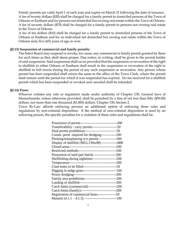Family permits are valid April 1 of each year and expire on March 31 following the date of issuance. A fee of twenty dollars (\$20) shall be charged for a family permit to domiciled persons of the Town of Orleans or Eastham and for persons not domiciled but owning real estate within the Town of Orleans. A fee of seventy dollars (\$70) shall be charged for a family permit to persons not owning real estate in the Town of Orleans.

A fee of ten dollars (\$10) shall be charged for a family permit to domiciled persons of the Town of Orleans or Eastham and for an individual not domiciled but owning real estate within the Town of Orleans sixty-five (65) years of age or over.

#### **§2.13) Suspension of commercial and family permits:**

The Select Board may suspend or revoke, for cause, any commercial or family permit granted by them for such times as they shall deem proper. Due notice, in writing, shall be given to the permit holder of said suspension. Said suspension shall occur provided that the suspension or revocation of the right to shellfish in either Orleans or Eastham shall result in the suspension or revocation of the right to shellfish in *both* towns during the period of any such suspension or revocation. Any person whose permit has been suspended shall return the same to the office of the Town Clerk, where the permit shall remain until the period for which it was suspended has expired. No fee received for a shellfish permit which has been suspended or revoked and canceled shall be refunded.

#### **§2.14) Fines:**

Whoever violates any rule or regulation made under authority of Chapter 130, General laws of Massachusetts, unless otherwise provided, shall be punished by a fine of not less than fifty (\$50.00) dollars, nor more than one thousand (\$1,000) dollars. Chapter 130, Section 2.

Town By-Law affords enforcing persons an additional option of enforcing these rules and regulations by non-criminal disposition. If the method of non-criminal disposition is used by an enforcing person, the specific penalties for a violation of these rules and regulations shall be:

| Transferability / carry permit-----------------------50    |  |
|------------------------------------------------------------|--|
| Dual permit prohibition------------------------------50    |  |
| Comm. perm. required for dredging-------------100          |  |
| Planting/transplanting w/o permit------------------200     |  |
| Display of shellfish (MGL130ss98) --------------ARR        |  |
|                                                            |  |
| Restricted methods----------------------------------100    |  |
| Possession of seed (per batch) -------------------200      |  |
| Shellfishing during nighttime---------------------200      |  |
|                                                            |  |
|                                                            |  |
|                                                            |  |
|                                                            |  |
| Family area prohibition--------------------------------200 |  |
|                                                            |  |
| Catch limits (commercial)--------------------------200     |  |
| Catch limits (family)----------------------------------200 |  |
| Registration of commercial boats----------------50         |  |
|                                                            |  |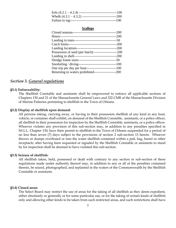### **Scallops**

| Returning to waters prohibited--------------------200 |
|-------------------------------------------------------|
|                                                       |

## *Section 3. General regulations*

#### **§3.1) Enforceability:**

The Shellfish Constable and assistants shall be empowered to enforce all applicable sections of Chapters 130 and 21 of the Massachusetts General Laws and 322 CMR of the Massachusetts Division of Marine Fisheries pertaining to shellfish in the Town of Orleans.

#### **§3.2) Display of shellfish upon demand:**

All persons taking, carrying away, or having in their possession shellfish of any kind in any boat, vehicle, or container shall exhibit, on demand of the Shellfish Constable, assistants, or a police officer, all shellfish in their possession for inspection by the Shellfish Constable, assistants, or a police officer. Whoever violates any provision of this sub-section may, in addition to any penalties specified in M.G.L. Chapter 130, have their permit to shellfish in the Town of Orleans suspended for a period of no less than seven (7) days subject to the provisions of section 2 sub-section 13 herein. Whoever throws or dumps overboard or into the water shellfish contained within a pail, bag, barrel or other receptacle, after having been requested or signaled by the Shellfish Constable or assistants to stand by for inspection shall be deemed to have violated this sub-section.

#### **§3.3) Seizure of shellfish:**

All shellfish taken, held, possessed or dealt with contrary to any section or sub-section of these regulations made under authority thereof may, in addition to any or all of the penalties contained therein, be seized, photographed, and replanted in the waters of the Commonwealth by the Shellfish Constable or assistants.

#### **§3.4) Closed areas:**

The Select Board may restrict the use of areas for the taking of all shellfish as they deem expedient, either absolutely or generally or for some particular use, or for the taking of certain kinds of shellfish only and allowing other kinds to be taken from such restricted areas, and such restrictions shall have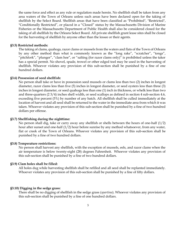the same force and effect as any rule or regulation made herein. No shellfish shall be taken from any area waters of the Town of Orleans unless such areas have been declared open for the taking of shellfish by the Select Board. Shellfish areas that have been classified as "Prohibited", "Restricted", "Conditionally Restricted", or placed in a "Closed" status by the Massachusetts Division of Marine Fisheries or the Massachusetts Department of Public Health shall also be considered closed for the taking of all shellfish by the Orleans Select Board. All private shellfish grant lease sites shall be closed for the harvesting of shellfish by anyone other than the lessee or their agents.

#### **§3.5) Restricted methods:**

The taking of clams, quahogs, razor clams or mussels from the waters and flats of the Town of Orleans by any other method than what is commonly known as the "long rake", "scratcher", "tongs", "pitchfork", "plunger", "clam hoe", or "salting (for razor clams only)" is prohibited unless the taker has a special permit. No shovel, spade, trowel or other edged tool may be used in the harvesting of shellfish. Whoever violates any provision of this sub-section shall be punished by a fine of one hundred dollars.

#### **§3.6) Possession of seed shellfish:**

No person shall take or have in possession seed mussels or clams less than two (2) inches in longest diameter, razor clams less than five (5) inches in longest diameter, or seed oysters less than three (3) inches in longest diameter, or seed quahogs less than one (1) inch in thickness, or whelk less than two and three-quarters (2 3/4) inches shell width, or seed scallops as defined in section 4 sub-section 4.6, exceeding five percent (5%) by number of any batch. All shellfish shall be culled immediately at the location of harvest and all seed shall be returned to the water in the immediate area from which it was taken. Whoever violates any provision of this sub-section shall be punished by a fine of two hundred dollars per offense.

#### **§3.7) Shellfishing during the nighttime:**

No person shall dig, take or carry away any shellfish or shells between the hours of one-half (1/2) hour after sunset and one-half (1/2) hour before sunrise by any method whatsoever, from any water, flat or creek of the Town of Orleans. Whoever violates any provision of this sub-section shall be punished by a fine of two hundred dollars.

#### **§3.8) Temperature restrictions:**

No person shall harvest any shellfish, with the exception of mussels, eels, and razor clams when the air temperature is below twenty-eight (28) degrees Fahrenheit. Whoever violates any provision of this sub-section shall be punished by a fine of two hundred dollars.

#### **§3.9) Clam holes shall be filled:**

All holes dug while harvesting shellfish shall be refilled and all seed shall be replanted immediately. Whoever violates any provision of this sub-section shall be punished by a fine of fifty dollars.

#### **§3.10) Digging in the sedge grass:**

There shall be no digging of shellfish in the sedge grass (*spartina*). Whoever violates any provision of this sub-section shall be punished by a fine of one hundred dollars.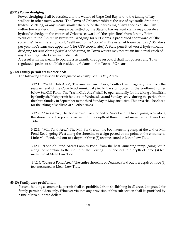## **§3.11) Power dredging:**

Power dredging shall be restricted to the waters of Cape Cod Bay and to the taking of bay scallops in other town waters. The Town of Orleans prohibits the use of hydraulic dredging, hydraulic jetting, or any means similar thereto for the harvesting of any species of shellfish within town waters. Only vessels permitted by the State to harvest surf clams may operate a hydraulic dredge in the waters of Orleans seaward of "the spire line" from Jeremy Point, Wellfleet, to the "Spire" in Brewster. Dredging for surf clams is prohibited shoreward of "the spire line" from Jeremy Point, Wellfleet, to the "Spire" in Brewster 24 hours per day / 365 days per year in Orleans (see appendix 1 for GPS coordinates) A State permitted vessel hydraulically dredging for surf clams (Spisula solidissima) in Town waters may not retain incidental catch of any Town regulated species of shellfish.

A vessel with the means to operate a hydraulic dredge on board shall not possess any Town regulated species of shellfish besides surf clams in the Town of Orleans.

## **§3.12) Family permit areas described:**

The following areas shall be designated as *Family Permit Only* Areas:

3.12.1. "Yacht Club Area"; The area in Town Cove, South of an imaginary line from the seaward end of the Cove Road municipal pier to the sign posted in the Southeast corner below Sea Call Farm. The "Yacht Club Area" shall be open annually for the taking of shellfish by family shellfish permit holders on Wednesdays and Sundays only, during the period from the third Sunday in September to the third Sunday in May, inclusive. This area shall be closed for the taking of shellfish at all other times.

3.12.2. "Asa's Area"; The Town Cove, from the end of Asa's Landing Road, going West along the shoreline to the point of rocks, out to a depth of three (3) feet measured at Mean Low Tide.

3.12.3. "Mill Pond Area"; The Mill Pond, from the boat launching ramp at the end of Mill Pond Road, going West along the shoreline to a sign posted at the point, at the entrance to Little Mill Pond, and out to a depth of three (3) feet measured at Mean Low Tide.

3.12.4. "Lonnie's Pond Area"; Lonnies Pond, from the boat launching ramp, going South along the shoreline to the mouth of the Herring Run, and out to a depth of three (3) feet measured at Mean Low Tide.

3.12.5. "Quanset Pond Area"; The entire shoreline of Quanset Pond out to a depth of three (3) feet measured at Mean Low Tide.

## **§3.13) Family area prohibition:**

Persons holding a commercial permit shall be prohibited from shellfishing in all areas designated for family permit holders only. Whoever violates any provision of this sub-section shall be punished by a fine of two hundred dollars.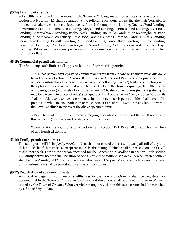### **§3.14) Landing of shellfish:**

All shellfish commercially harvested in the Town of Orleans, except for scallops as provided for in section 4 sub-section 4.5 shall be landed at the following locations unless the Shellfish Constable is notified of an alternate location at least twenty-four (24) hours prior to landing: Quanset Pond Landing, Portanimicut Landing, Namequoit Landing, Arey's Pond Landing, Lonnie's Pond Landing, River Road Landing, Sparrowhawk Landing, Barley Neck Landing, Route 28 Landing, or Meetinghouse Pond Landing in the Pleasant Bay estuary; Cove Road Landing, Goose Hummock Landing , Asa's Landing, Snow Shore Landing, Priscilla Landing, Mill Pond Landing, Tonset Road Landing, Collins' Landing, Hemenway Landing, or Salt Pond Landing in the Nauset estuary; Rock Harbor or Skaket Beach in Cape Cod Bay. Whoever violates any provision of this sub-section shall be punished by a fine of two hundred dollars.

#### **§3.15) Commercial permit catch limits**:

The following catch limits shall apply to holders of commercial permits:

3.15.1. No person having a valid commercial permit from Orleans or Eastham may take daily from the Nauset estuary, Pleasant Bay estuary, or Cape Cod Bay, except as provided for in section 3 sub-section 15.2 herein, in excess of the following: two (2) bushels of quahogs with the option of two (2) additional separate bushels of strictly chowder quahogs; ten (10) bushels of mussels; three (3) bushels of razor clams; ten (10) bushels of ark clams (including shells); or may take weekly in excess of one (1) ten-quart pail-full of oysters *for family use only*. Said limits shall be subject to resource assessments. In addition, no such permit holder shall have in his possession while in, on, or adjacent to the waters or flats of the Town, or at any landing within the Town, shellfish in excess of the above specified limits.

3.15.2. The total limit for commercial dredging of quahogs in Cape Cod Bay shall not exceed thirty-five (35) eighty-pound bushels per day per boat.

Whoever violates any provision of section 3 sub-sections 15.1-15.2 shall be punished by a fine of two hundred dollars.

#### **§3.16) Family permit catch limits:**

The taking of shellfish by *family permit* holders shall not exceed one (1) ten-quart pail-full of any and all kinds of shellfish per week, except for mussels, the taking of which shall not exceed one-half (1/2) bushel per week. During the season specified for the harvesting of scallops in section 4 sub-section 4.4, family permit holders shall be allowed one (1) bushel of scallops per week. A week in this context shall begin on Sunday at 12:01 am and end on Saturday at 11:59 pm. Whomever violates any provision of this sub-section shall be punished by a fine of fifty dollars.

## **§3.17) Registration of commercial boats:**

Any boat engaged in commercial shellfishing in the Town of Orleans shall be registered or documented in the Town of Orleans or Eastham, and the owner shall hold a valid *commercial permit* issued by the Town of Orleans. Whoever violates any provision of this sub-section shall be punished by a fine of fifty dollars.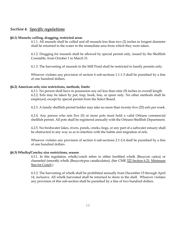## *Section 4. Specific regulations*

#### **§4.1) Mussels; culling, dragging, restricted areas**

4.1.1. All mussels shall be culled and all mussels less than two (2) inches in longest diameter shall be returned to the water in the immediate area from which they were taken.

4.1.2. Dragging for mussels shall be allowed by special permit only, issued by the Shellfish Constable, from October 1 to March 31.

4.1.3. The harvesting of mussels in the Mill Pond shall be restricted to family permits only.

Whoever violates any provision of section 4 sub-sections 1.1-1.3 shall be punished by a fine of one hundred dollars.

#### **§4.2) American eels; size restrictions, methods, limits**

4.2.1. No person shall have in possession any eel less than nine (9) inches in overall length. 4.2.2. Eels may be taken by pot, trap, hook, line, or spear only. No other methods shall be employed, except by special permit from the Select Board.

4.2.3. A family shellfish permit holder may take no more than twenty-five (25) eels per week.

4.2.4. Any person who sets five (5) or more pots must hold a valid Orleans commercial shellfish permit. All pots shall be registered annually with the Orleans Shellfish Department.

4.2.5. No freshwater lakes, rivers, ponds, creeks, bogs, or any part of a saltwater estuary shall be obstructed in any way so as to interfere with the habits and migration of eels.

Whoever violates any provision of section 4 sub-sections 2.1-2.4 shall be punished by a fine of one hundred dollars.

#### **§4.3) Whelks/Conchs; size restrictions, season**

4.3.1. In this regulation, whelk/conch refers to either knobbed whelk (Busycon carica) or channeled (smooth) whelk (Busycotypus canaliculatus). (See CMR 322 Section 6.21: Minimum Size for Conch.)

4.3.2. The harvesting of whelk shall be prohibited annually from December 15 through April 14, inclusive. All whelk harvested shall be returned to shore in the shell. Whoever violates any provision of this sub-section shall be punished by a fine of two hundred dollars.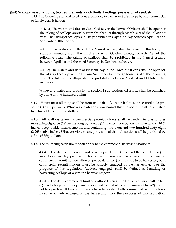#### **§4.4) Scallops; seasons, hours, tote requirements, catch limits, landings, possession of seed, etc.**

4.4.1. The following seasonal restrictions shall apply to the harvest of scallops by any commercial or family permit holder:

4.4.1.a) The waters and flats of Cape Cod Bay in the Town of Orleans shall be open for the taking of scallops annually from October 1st through March 31st of the following year. The taking of scallops shall be prohibited in Cape Cod Bay between April 1st and September 30th, inclusive.

4.4.1.b) The waters and flats of the Nauset estuary shall be open for the taking of scallops annually from the third Sunday in October through March 31st of the following year. The taking of scallops shall be prohibited in the Nauset estuary between April 1st and the third Saturday in October, inclusive.

4.4.1.c) The waters and flats of Pleasant Bay in the Town of Orleans shall be open for the taking of scallops annually from November 1st through March 31st of the following year. The taking of scallops shall be prohibited between April 1st and October 31st, inclusive.

Whoever violates any provision of section 4 sub-sections 4.1.a-4.1.c shall be punished by a fine of two hundred dollars.

4.4.2. Hours for scalloping shall be from one-half (1/2) hour before sunrise until 4:00 pm, seven (7) days per week. Whoever violates any provision of this sub-section shall be punished by a fine of two hundred dollars.

4.4.3. All scallops taken by commercial permit holders shall be landed in plastic totes measuring eighteen (18) inches long by twelve (12) inches wide by ten and five tenths (10.5) inches deep, inside measurements, and containing two thousand two hundred sixty-eight (2,268) cubic inches. Whoever violates any provision of this sub-section shall be punished by a fine of fifty dollars.

4.4.4. The following catch limits shall apply to the commercial harvest of scallops:

4.4.4.a) The daily commercial limit of scallops taken in Cape Cod Bay shall be ten (10) level totes per day per permit holder, and there shall be a maximum of two (2) commercial permit holders allowed per boat. If two (2) limits are to be harvested, both commercial permit holders must be actively engaged in the harvesting. For the purposes of this regulation, "actively engaged" shall be defined as handling or harvesting scallops or operating harvesting gear.

4.4.4.b) The daily commercial limit of scallops taken in the Nauset estuary shall be five (5) level totes per day per permit holder, and there shall be a maximum of two (2) permit holders per boat. If two (2) limits are to be harvested, both commercial permit holders must be actively engaged in the harvesting. For the purposes of this regulation,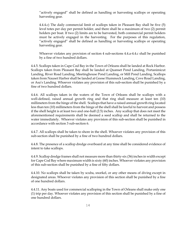"actively engaged" shall be defined as handling or harvesting scallops or operating harvesting gear.

4.4.4.c) The daily commercial limit of scallops taken in Pleasant Bay shall be five (5) level totes per day per permit holder, and there shall be a maximum of two (2) permit holders per boat. If two (2) limits are to be harvested, both commercial permit holders must be actively engaged in the harvesting. For the purposes of this regulation, "actively engaged" shall be defined as handling or harvesting scallops or operating harvesting gear.

Whoever violates any provision of section 4 sub-sections 4.4.a-4.4.c shall be punished by a fine of two hundred dollars.

4.4.5. Scallops taken in Cape Cod Bay in the Town of Orleans shall be landed at Rock Harbor. Scallops taken from Pleasant Bay shall be landed at Quanset Pond Landing, Portanimicut Landing, River Road Landing, Meetinghouse Pond Landing, or Mill Pond Landing. Scallops taken from Nauset Harbor shall be landed at Goose Hummock Landing, Cove Road Landing, or Asa's Landing. Whoever violates any provision of this sub-section shall be punished by a fine of two hundred dollars.

4.4.6. All scallops taken in the waters of the Town of Orleans shall be scallops with a well-defined, raised annual growth ring and that ring shall measure at least ten (10) millimeters from the hinge of the shell. Scallops that have a raised annual growth ring located less than ten (10) millimeters from the hinge of the shell shall be lawful to harvest and possess if the shell height is at least two and one-half (2.5) inches. Any scallop that does not meet the aforementioned requirements shall be deemed a seed scallop and shall be returned to the water immediately. Whoever violates any provision of this sub-section shall be punished in accordance with section 3 sub-section 6.

4.4.7. All scallops shall be taken to shore in the shell. Whoever violates any provision of this sub-section shall be punished by a fine of two hundred dollars.

4.4.8. The presence of a scallop dredge overboard at any time shall be considered evidence of intent to take scallops.

4.4.9. Scallop dredge frames shall not measure more than thirty-six (36) inches in width except for Cape Cod Bay where maximum width is sixty (60) inches. Whoever violates any provision of this sub-section shall be punished by a fine of fifty dollars.

4.4.10. No scallops shall be taken by scuba, snorkel, or any other means of diving except in designated areas. Whoever violates any provision of this section shall be punished by a fine of one hundred dollars.

4.4.11. Any boats used for commercial scalloping in the Town of Orleans shall make only one (1) trip per day. Whoever violates any provision of this section shall be punished by a fine of one hundred dollars.